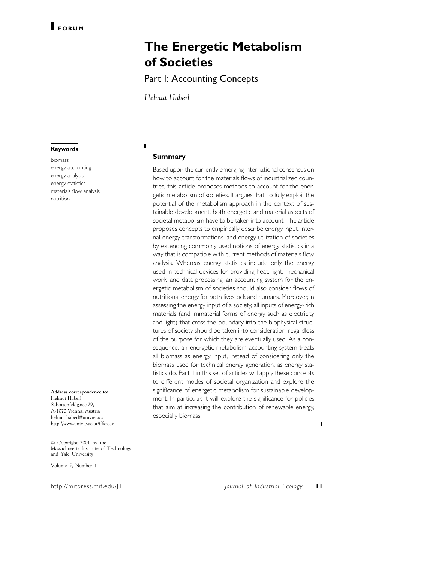# **The Energetic Metabolism of Societies**

Part I: Accounting Concepts

*Helmut Haberl*

#### **Keywords**

biomass energy accounting energy analysis energy statistics materials flow analysis nutrition

**Address correspondence to:** Helmut Haberl Schottenfeldgasse 29, A-1070 Vienna, Austria helmut.haberl@univie.ac.at http://www.univie.ac.at/iffsocec

© Copyright 2001 by the Massachusetts Institute of Technology and Yale University

Volume 5, Number 1

#### **Summary**

Based upon the currently emerging international consensus on how to account for the materials flows of industrialized countries, this article proposes methods to account for the energetic metabolism of societies. It argues that, to fully exploit the potential of the metabolism approach in the context of sustainable development, both energetic and material aspects of societal metabolism have to be taken into account. The article proposes concepts to empirically describe energy input, internal energy transformations, and energy utilization of societies by extending commonly used notions of energy statistics in a way that is compatible with current methods of materials flow analysis. Whereas energy statistics include only the energy used in technical devices for providing heat, light, mechanical work, and data processing, an accounting system for the energetic metabolism of societies should also consider flows of nutritional energy for both livestock and humans. Moreover, in assessing the energy input of a society, all inputs of energy-rich materials (and immaterial forms of energy such as electricity and light) that cross the boundary into the biophysical structures of society should be taken into consideration, regardless of the purpose for which they are eventually used. As a consequence, an energetic metabolism accounting system treats all biomass as energy input, instead of considering only the biomass used for technical energy generation, as energy statistics do. Part II in this set of articles will apply these concepts to different modes of societal organization and explore the significance of energetic metabolism for sustainable development. In particular, it will explore the significance for policies that aim at increasing the contribution of renewable energy, especially biomass.

http://mitpress.mit.edu/JIE *Journal of Industrial Ecology* **11**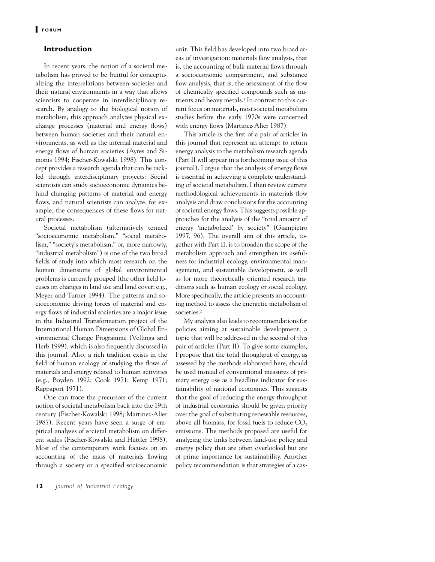## **Introduction**

In recent years, the notion of a societal metabolism has proved to be fruitful for conceptualizing the interrelations between societies and their natural environments in a way that allows scientists to cooperate in interdisciplinary research. By analogy to the biological notion of metabolism, this approach analyzes physical exchange processes (material and energy flows) between human societies and their natural environments, as well as the internal material and energy flows of human societies (Ayres and Simonis 1994; Fischer-Kowalski 1998). This concept provides a research agenda that can be tackled through interdisciplinary projects: Social scientists can study socioeconomic dynamics behind changing patterns of material and energy flows, and natural scientists can analyze, for example, the consequences of these flows for natural processes.

Societal metabolism (alternatively termed "socioeconomic metabolism," "social metabolism," "society's metabolism," or, more narrowly, "industrial metabolism") is one of the two broad fields of study into which most research on the human dimensions of global environmental problems is currently grouped (the other field focuses on changes in land use and land cover; e.g., Meyer and Turner 1994). The patterns and socioeconomic driving forces of material and energy flows of industrial societies are a major issue in the Industrial Transformation project of the International Human Dimensions of Global Environmental Change Programme (Vellinga and Herb 1999), which is also frequently discussed in this journal. Also, a rich tradition exists in the field of human ecology of studying the flows of materials and energy related to human activities (e.g., Boyden 1992; Cook 1971; Kemp 1971; Rappaport 1971).

One can trace the precursors of the current notion of societal metabolism back into the 19th century (Fischer-Kowalski 1998; Martinez-Alier 1987). Recent years have seen a surge of empirical analyses of societal metabolism on different scales (Fischer-Kowalski and Hüttler 1998). Most of the contemporary work focuses on an accounting of the mass of materials flowing through a society or a specified socioeconomic unit. This field has developed into two broad areas of investigation: materials flow analysis, that is, the accounting of bulk material flows through a socioeconomic compartment, and substance flow analysis, that is, the assessment of the flow of chemically specified compounds such as nutrients and heavy metals.<sup>1</sup> In contrast to this current focus on materials, most societal metabolism studies before the early 1970s were concerned with energy flows (Martinez-Alier 1987).

This article is the first of a pair of articles in this journal that represent an attempt to return energy analysis to the metabolism research agenda (Part II will appear in a forthcoming issue of this journal). I argue that the analysis of energy flows is essential in achieving a complete understanding of societal metabolism. I then review current methodological achievements in materials flow analysis and draw conclusions for the accounting of societal energy flows. This suggests possible approaches for the analysis of the "total amount of energy 'metabolized' by society" (Giampietro 1997, 96). The overall aim of this article, together with Part II, is to broaden the scope of the metabolism approach and strengthen its usefulness for industrial ecology, environmental management, and sustainable development, as well as for more theoretically oriented research traditions such as human ecology or social ecology. More specifically, the article presents an accounting method to assess the energetic metabolism of societies.2

My analysis also leads to recommendations for policies aiming at sustainable development, a topic that will be addressed in the second of this pair of articles (Part II). To give some examples, I propose that the total throughput of energy, as assessed by the methods elaborated here, should be used instead of conventional measures of primary energy use as a headline indicator for sustainability of national economies. This suggests that the goal of reducing the energy throughput of industrial economies should be given priority over the goal of substituting renewable resources, above all biomass, for fossil fuels to reduce  $CO<sub>2</sub>$ emissions. The methods proposed are useful for analyzing the links between land-use policy and energy policy that are often overlooked but are of prime importance for sustainability. Another policy recommendation is that strategies of a cas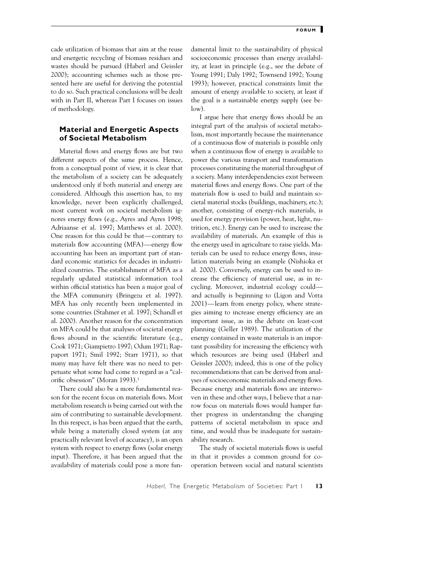cade utilization of biomass that aim at the reuse and energetic recycling of biomass residues and wastes should be pursued (Haberl and Geissler 2000); accounting schemes such as those presented here are useful for deriving the potential to do so. Such practical conclusions will be dealt with in Part II, whereas Part I focuses on issues of methodology.

# **Material and Energetic Aspects of Societal Metabolism**

Material flows and energy flows are but two different aspects of the same process. Hence, from a conceptual point of view, it is clear that the metabolism of a society can be adequately understood only if both material and energy are considered. Although this assertion has, to my knowledge, never been explicitly challenged, most current work on societal metabolism ignores energy flows (e.g., Ayres and Ayres 1998; Adriaanse et al. 1997; Matthews et al. 2000). One reason for this could be that—contrary to materials flow accounting (MFA)—energy flow accounting has been an important part of standard economic statistics for decades in industrialized countries. The establishment of MFA as a regularly updated statistical information tool within official statistics has been a major goal of the MFA community (Bringezu et al. 1997). MFA has only recently been implemented in some countries (Stahmer et al. 1997; Schandl et al. 2000). Another reason for the concentration on MFA could be that analyses of societal energy flows abound in the scientific literature (e.g., Cook 1971; Giampietro 1997; Odum 1971; Rappaport 1971; Smil 1992; Starr 1971), so that many may have felt there was no need to perpetuate what some had come to regard as a "calorific obsession" (Moran 1993).3

There could also be a more fundamental reason for the recent focus on materials flows. Most metabolism research is being carried out with the aim of contributing to sustainable development. In this respect, is has been argued that the earth, while being a materially closed system (at any practically relevant level of accuracy), is an open system with respect to energy flows (solar energy input). Therefore, it has been argued that the availability of materials could pose a more fundamental limit to the sustainability of physical socioeconomic processes than energy availability, at least in principle (e.g., see the debate of Young 1991; Daly 1992; Townsend 1992; Young 1993); however, practical constraints limit the amount of energy available to society, at least if the goal is a sustainable energy supply (see below).

I argue here that energy flows should be an integral part of the analysis of societal metabolism, most importantly because the maintenance of a continuous flow of materials is possible only when a continuous flow of energy is available to power the various transport and transformation processes constituting the material throughput of a society. Many interdependencies exist between material flows and energy flows. One part of the materials flow is used to build and maintain societal material stocks (buildings, machinery, etc.); another, consisting of energy-rich materials, is used for energy provision (power, heat, light, nutrition, etc.). Energy can be used to increase the availability of materials. An example of this is the energy used in agriculture to raise yields. Materials can be used to reduce energy flows, insulation materials being an example (Nishioka et al. 2000). Conversely, energy can be used to increase the efficiency of material use, as in recycling. Moreover, industrial ecology could and actually is beginning to (Ligon and Votta 2001)—learn from energy policy, where strategies aiming to increase energy efficiency are an important issue, as in the debate on least-cost planning (Geller 1989). The utilization of the energy contained in waste materials is an important possibility for increasing the efficiency with which resources are being used (Haberl and Geissler 2000); indeed, this is one of the policy recommendations that can be derived from analyses of socioeconomic materials and energy flows. Because energy and materials flows are interwoven in these and other ways, I believe that a narrow focus on materials flows would hamper further progress in understanding the changing patterns of societal metabolism in space and time, and would thus be inadequate for sustainability research.

The study of societal materials flows is useful in that it provides a common ground for cooperation between social and natural scientists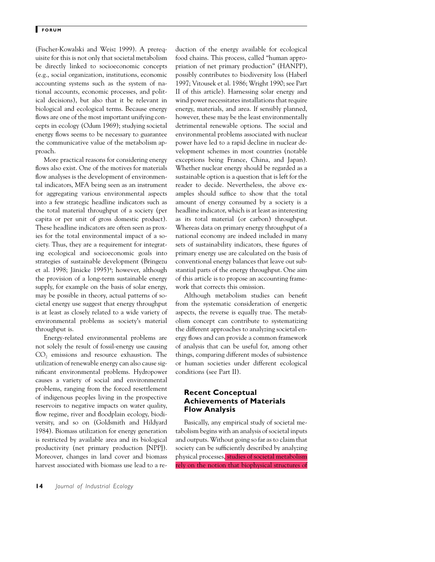(Fischer-Kowalski and Weisz 1999). A prerequisite for this is not only that societal metabolism be directly linked to socioeconomic concepts (e.g., social organization, institutions, economic accounting systems such as the system of national accounts, economic processes, and political decisions), but also that it be relevant in biological and ecological terms. Because energy flows are one of the most important unifying concepts in ecology (Odum 1969); studying societal energy flows seems to be necessary to guarantee the communicative value of the metabolism approach.

More practical reasons for considering energy flows also exist. One of the motives for materials flow analyses is the development of environmental indicators, MFA being seen as an instrument for aggregating various environmental aspects into a few strategic headline indicators such as the total material throughput of a society (per capita or per unit of gross domestic product). These headline indicators are often seen as proxies for the total environmental impact of a society. Thus, they are a requirement for integrating ecological and socioeconomic goals into strategies of sustainable development (Bringezu et al. 1998; Jänicke 1995)<sup>4</sup>; however, although the provision of a long-term sustainable energy supply, for example on the basis of solar energy, may be possible in theory, actual patterns of societal energy use suggest that energy throughput is at least as closely related to a wide variety of environmental problems as society's material throughput is.

Energy-related environmental problems are not solely the result of fossil-energy use causing  $CO<sub>2</sub>$  emissions and resource exhaustion. The utilization of renewable energy can also cause significant environmental problems. Hydropower causes a variety of social and environmental problems, ranging from the forced resettlement of indigenous peoples living in the prospective reservoirs to negative impacts on water quality, flow regime, river and floodplain ecology, biodiversity, and so on (Goldsmith and Hildyard 1984). Biomass utilization for energy generation is restricted by available area and its biological productivity (net primary production [NPP]). Moreover, changes in land cover and biomass harvest associated with biomass use lead to a reduction of the energy available for ecological food chains. This process, called "human appropriation of net primary production" (HANPP), possibly contributes to biodiversity loss (Haberl 1997; Vitousek et al. 1986; Wright 1990; see Part II of this article). Harnessing solar energy and wind power necessitates installations that require energy, materials, and area. If sensibly planned, however, these may be the least environmentally detrimental renewable options. The social and environmental problems associated with nuclear power have led to a rapid decline in nuclear development schemes in most countries (notable exceptions being France, China, and Japan). Whether nuclear energy should be regarded as a sustainable option is a question that is left for the reader to decide. Nevertheless, the above examples should suffice to show that the total amount of energy consumed by a society is a headline indicator, which is at least as interesting as its total material (or carbon) throughput. Whereas data on primary energy throughput of a national economy are indeed included in many sets of sustainability indicators, these figures of primary energy use are calculated on the basis of conventional energy balances that leave out substantial parts of the energy throughput. One aim of this article is to propose an accounting framework that corrects this omission.

Although metabolism studies can benefit from the systematic consideration of energetic aspects, the reverse is equally true. The metabolism concept can contribute to systematizing the different approaches to analyzing societal energy flows and can provide a common framework of analysis that can be useful for, among other things, comparing different modes of subsistence or human societies under different ecological conditions (see Part II).

# **Recent Conceptual Achievements of Materials Flow Analysis**

Basically, any empirical study of societal metabolism begins with an analysis of societal inputs and outputs. Without going so far as to claim that society can be sufficiently described by analyzing physical processes, studies of societal metabolism rely on the notion that biophysical structures of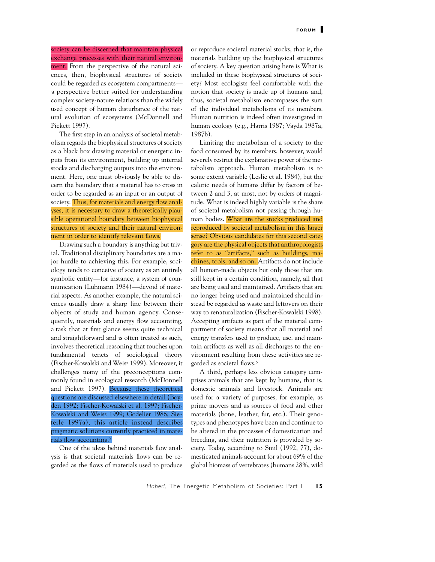society can be discerned that maintain physical exchange processes with their natural environment. From the perspective of the natural sciences, then, biophysical structures of society could be regarded as ecosystem compartments a perspective better suited for understanding complex society-nature relations than the widely used concept of human disturbance of the natural evolution of ecosystems (McDonnell and Pickett 1997).

The first step in an analysis of societal metabolism regards the biophysical structures of society as a black box drawing material or energetic inputs from its environment, building up internal stocks and discharging outputs into the environment. Here, one must obviously be able to discern the boundary that a material has to cross in order to be regarded as an input or an output of society. Thus, for materials and energy flow analyses, it is necessary to draw a theoretically plausible operational boundary between biophysical structures of society and their natural environment in order to identify relevant flows.

Drawing such a boundary is anything but trivial. Traditional disciplinary boundaries are a major hurdle to achieving this. For example, sociology tends to conceive of society as an entirely symbolic entity—for instance, a system of communication (Luhmann 1984)—devoid of material aspects. As another example, the natural sciences usually draw a sharp line between their objects of study and human agency. Consequently, materials and energy flow accounting, a task that at first glance seems quite technical and straightforward and is often treated as such, involves theoretical reasoning that touches upon fundamental tenets of sociological theory (Fischer-Kowalski and Weisz 1999). Moreover, it challenges many of the preconceptions commonly found in ecological research (McDonnell and Pickett 1997). Because these theoretical questions are discussed elsewhere in detail (Boyden 1992; Fischer-Kowalski et al. 1997; Fischer-Kowalski and Weisz 1999; Godelier 1986; Sieferle 1997a), this article instead describes pragmatic solutions currently practiced in materials flow accounting.5

One of the ideas behind materials flow analysis is that societal materials flows can be regarded as the flows of materials used to produce

or reproduce societal material stocks, that is, the materials building up the biophysical structures of society. A key question arising here is What is included in these biophysical structures of society? Most ecologists feel comfortable with the notion that society is made up of humans and, thus, societal metabolism encompasses the sum of the individual metabolisms of its members. Human nutrition is indeed often investigated in human ecology (e.g., Harris 1987; Vayda 1987a, 1987b).

Limiting the metabolism of a society to the food consumed by its members, however, would severely restrict the explanative power of the metabolism approach. Human metabolism is to some extent variable (Leslie et al. 1984), but the caloric needs of humans differ by factors of between 2 and 3, at most, not by orders of magnitude. What is indeed highly variable is the share of societal metabolism not passing through human bodies. What are the stocks produced and reproduced by societal metabolism in this larger sense? Obvious candidates for this second category are the physical objects that anthropologists refer to as "artifacts," such as buildings, machines, tools, and so on. Artifacts do not include all human-made objects but only those that are still kept in a certain condition, namely, all that are being used and maintained. Artifacts that are no longer being used and maintained should instead be regarded as waste and leftovers on their way to renaturalization (Fischer-Kowalski 1998). Accepting artifacts as part of the material compartment of society means that all material and energy transfers used to produce, use, and maintain artifacts as well as all discharges to the environment resulting from these activities are regarded as societal flows.6

A third, perhaps less obvious category comprises animals that are kept by humans, that is, domestic animals and livestock. Animals are used for a variety of purposes, for example, as prime movers and as sources of food and other materials (bone, leather, fur, etc.). Their genotypes and phenotypes have been and continue to be altered in the processes of domestication and breeding, and their nutrition is provided by society. Today, according to Smil (1992, 77), domesticated animals account for about 69% of the global biomass of vertebrates (humans 28%, wild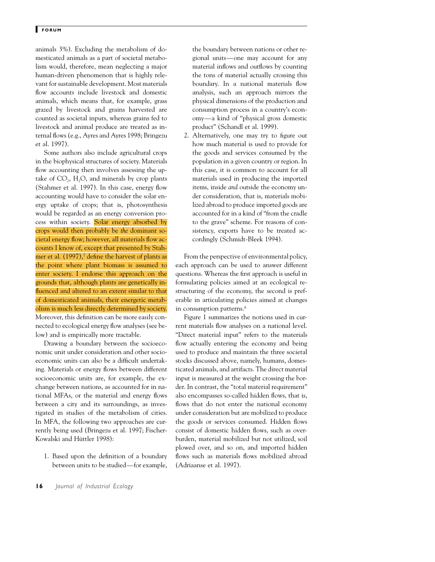animals 3%). Excluding the metabolism of domesticated animals as a part of societal metabolism would, therefore, mean neglecting a major human-driven phenomenon that is highly relevant for sustainable development. Most materials flow accounts include livestock and domestic animals, which means that, for example, grass grazed by livestock and grains harvested are counted as societal inputs, whereas grains fed to livestock and animal produce are treated as internal flows (e.g., Ayres and Ayres 1998; Bringezu et al. 1997).

Some authors also include agricultural crops in the biophysical structures of society. Materials flow accounting then involves assessing the uptake of  $CO<sub>2</sub>$ , H<sub>2</sub>O, and minerals by crop plants (Stahmer et al. 1997). In this case, energy flow accounting would have to consider the solar energy uptake of crops; that is, photosynthesis would be regarded as an energy conversion process within society. Solar energy absorbed by crops would then probably be *the* dominant societal energy flow; however, all materials flow accounts I know of, except that presented by Stahmer et al.  $(1997)$ ,<sup>7</sup> define the harvest of plants as the point where plant biomass is assumed to enter society. I endorse this approach on the grounds that, although plants are genetically influenced and altered to an extent similar to that of domesticated animals, their energetic metabolism is much less directly determined by society. Moreover, this definition can be more easily connected to ecological energy flow analyses (see below) and is empirically more tractable.

Drawing a boundary between the socioeconomic unit under consideration and other socioeconomic units can also be a difficult undertaking. Materials or energy flows between different socioeconomic units are, for example, the exchange between nations, as accounted for in national MFAs, or the material and energy flows between a city and its surroundings, as investigated in studies of the metabolism of cities. In MFA, the following two approaches are currently being used (Bringezu et al. 1997; Fischer-Kowalski and Hüttler 1998):

1. Based upon the definition of a boundary between units to be studied—for example, the boundary between nations or other regional units—one may account for any material inflows and outflows by counting the tons of material actually crossing this boundary. In a national materials flow analysis, such an approach mirrors the physical dimensions of the production and consumption process in a country's economy—a kind of "physical gross domestic product" (Schandl et al. 1999).

2. Alternatively, one may try to figure out how much material is used to provide for the goods and services consumed by the population in a given country or region. In this case, it is common to account for all materials used in producing the imported items, inside *and* outside the economy under consideration, that is, materials mobilized abroad to produce imported goods are accounted for in a kind of "from the cradle to the grave" scheme. For reasons of consistency, exports have to be treated accordingly (Schmidt-Bleek 1994).

From the perspective of environmental policy, each approach can be used to answer different questions. Whereas the first approach is useful in formulating policies aimed at an ecological restructuring of the economy, the second is preferable in articulating policies aimed at changes in consumption patterns.<sup>8</sup>

Figure 1 summarizes the notions used in current materials flow analyses on a national level. "Direct material input" refers to the materials flow actually entering the economy and being used to produce and maintain the three societal stocks discussed above, namely, humans, domesticated animals, and artifacts. The direct material input is measured at the weight crossing the border. In contrast, the "total material requirement" also encompasses so-called hidden flows, that is, flows that do not enter the national economy under consideration but are mobilized to produce the goods or services consumed. Hidden flows consist of domestic hidden flows, such as overburden, material mobilized but not utilized, soil plowed over, and so on, and imported hidden flows such as materials flows mobilized abroad (Adriaanse et al. 1997).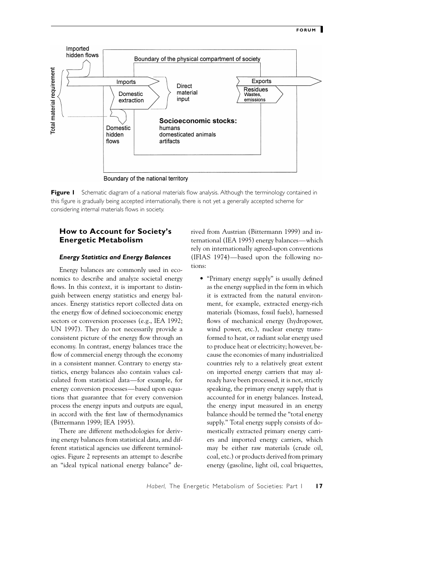

**Figure I** Schematic diagram of a national materials flow analysis. Although the terminology contained in this figure is gradually being accepted internationally, there is not yet a generally accepted scheme for considering internal materials flows in society.

# **How to Account for Society's Energetic Metabolism**

#### *Energy Statistics and Energy Balances*

Energy balances are commonly used in economics to describe and analyze societal energy flows. In this context, it is important to distinguish between energy statistics and energy balances*.* Energy statistics report collected data on the energy flow of defined socioeconomic energy sectors or conversion processes (e.g., IEA 1992; UN 1997). They do not necessarily provide a consistent picture of the energy flow through an economy. In contrast, energy balances trace the flow of commercial energy through the economy in a consistent manner. Contrary to energy statistics, energy balances also contain values calculated from statistical data—for example, for energy conversion processes—based upon equations that guarantee that for every conversion process the energy inputs and outputs are equal, in accord with the first law of thermodynamics (Bittermann 1999; IEA 1995).

There are different methodologies for deriving energy balances from statistical data, and different statistical agencies use different terminologies. Figure 2 represents an attempt to describe an "ideal typical national energy balance" derived from Austrian (Bittermann 1999) and international (IEA 1995) energy balances—which rely on internationally agreed-upon conventions (IFIAS 1974)—based upon the following notions:

• "Primary energy supply" is usually defined as the energy supplied in the form in which it is extracted from the natural environment, for example, extracted energy-rich materials (biomass, fossil fuels), harnessed flows of mechanical energy (hydropower, wind power, etc.), nuclear energy transformed to heat, or radiant solar energy used to produce heat or electricity; however, because the economies of many industrialized countries rely to a relatively great extent on imported energy carriers that may already have been processed, it is not, strictly speaking, the primary energy supply that is accounted for in energy balances. Instead, the energy input measured in an energy balance should be termed the "total energy supply." Total energy supply consists of domestically extracted primary energy carriers and imported energy carriers, which may be either raw materials (crude oil, coal, etc.) or products derived from primary energy (gasoline, light oil, coal briquettes,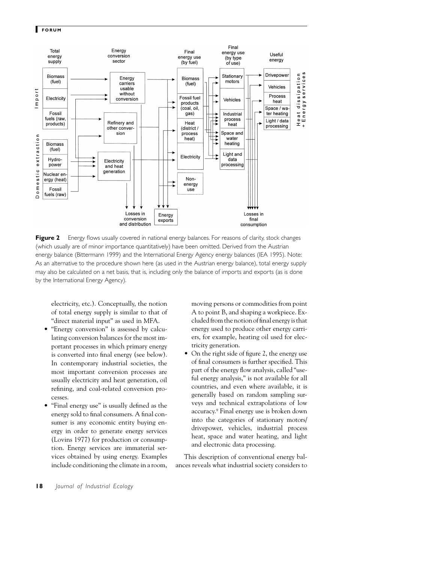

**Figure 2** Energy flows usually covered in national energy balances. For reasons of clarity, stock changes (which usually are of minor importance quantitatively) have been omitted. Derived from the Austrian energy balance (Bittermann 1999) and the International Energy Agency energy balances (IEA 1995). Note: As an alternative to the procedure shown here (as used in the Austrian energy balance), total energy supply may also be calculated on a net basis, that is, including only the balance of imports and exports (as is done by the International Energy Agency).

electricity, etc.). Conceptually, the notion of total energy supply is similar to that of "direct material input" as used in MFA.

- "Energy conversion" is assessed by calculating conversion balances for the most important processes in which primary energy is converted into final energy (see below). In contemporary industrial societies, the most important conversion processes are usually electricity and heat generation, oil refining, and coal-related conversion processes.
- "Final energy use" is usually defined as the energy sold to final consumers. A final consumer is any economic entity buying energy in order to generate energy services (Lovins 1977) for production or consumption. Energy services are immaterial services obtained by using energy. Examples include conditioning the climate in a room,

moving persons or commodities from point A to point B, and shaping a workpiece. Excluded from the notion of final energyis that energy used to produce other energy carriers, for example, heating oil used for electricity generation.

• On the right side of figure 2, the energy use of final consumers is further specified. This part of the energy flow analysis, called "useful energy analysis," is not available for all countries, and even where available, it is generally based on random sampling surveys and technical extrapolations of low accuracy.9 Final energy use is broken down into the categories of stationary motors/ drivepower, vehicles, industrial process heat, space and water heating, and light and electronic data processing.

This description of conventional energy balances reveals what industrial society considers to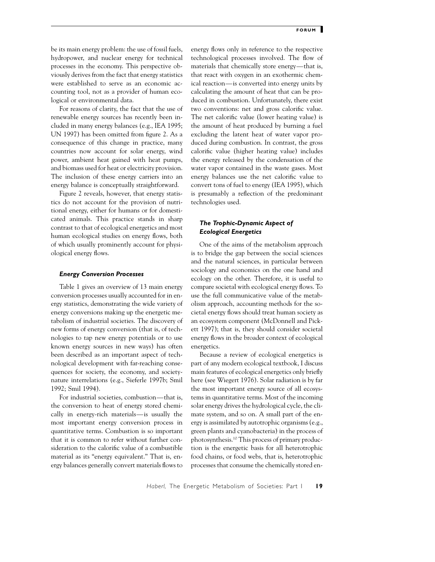be its main energy problem: the use of fossil fuels, hydropower, and nuclear energy for technical processes in the economy. This perspective obviously derives from the fact that energy statistics were established to serve as an economic accounting tool, not as a provider of human ecological or environmental data.

For reasons of clarity, the fact that the use of renewable energy sources has recently been included in many energy balances (e.g., IEA 1995; UN 1997) has been omitted from figure 2. As a consequence of this change in practice, many countries now account for solar energy, wind power, ambient heat gained with heat pumps, and biomass used for heat or electricity provision. The inclusion of these energy carriers into an energy balance is conceptually straightforward.

Figure 2 reveals, however, that energy statistics do not account for the provision of nutritional energy, either for humans or for domesticated animals. This practice stands in sharp contrast to that of ecological energetics and most human ecological studies on energy flows, both of which usually prominently account for physiological energy flows.

#### *Energy Conversion Processes*

Table 1 gives an overview of 13 main energy conversion processes usually accounted for in energy statistics, demonstrating the wide variety of energy conversions making up the energetic metabolism of industrial societies. The discovery of new forms of energy conversion (that is, of technologies to tap new energy potentials or to use known energy sources in new ways) has often been described as an important aspect of technological development with far-reaching consequences for society, the economy, and societynature interrelations (e.g., Sieferle 1997b; Smil 1992; Smil 1994).

For industrial societies, combustion—that is, the conversion to heat of energy stored chemically in energy-rich materials—is usually the most important energy conversion process in quantitative terms. Combustion is so important that it is common to refer without further consideration to the calorific value of a combustible material as its "energy equivalent." That is, energy balances generally convert materials flows to energy flows only in reference to the respective technological processes involved. The flow of materials that chemically store energy—that is, that react with oxygen in an exothermic chemical reaction—is converted into energy units by calculating the amount of heat that can be produced in combustion. Unfortunately, there exist two conventions: net and gross calorific value. The net calorific value (lower heating value) is the amount of heat produced by burning a fuel excluding the latent heat of water vapor produced during combustion. In contrast, the gross calorific value (higher heating value) includes the energy released by the condensation of the water vapor contained in the waste gases. Most energy balances use the net calorific value to convert tons of fuel to energy (IEA 1995), which is presumably a reflection of the predominant technologies used.

# *The Trophic-Dynamic Aspect of Ecological Energetics*

One of the aims of the metabolism approach is to bridge the gap between the social sciences and the natural sciences, in particular between sociology and economics on the one hand and ecology on the other. Therefore, it is useful to compare societal with ecological energy flows. To use the full communicative value of the metabolism approach, accounting methods for the societal energy flows should treat human society as an ecosystem component (McDonnell and Pickett 1997); that is, they should consider societal energy flows in the broader context of ecological energetics.

Because a review of ecological energetics is part of any modern ecological textbook, I discuss main features of ecological energetics only briefly here (see Wiegert 1976). Solar radiation is by far the most important energy source of all ecosystems in quantitative terms. Most of the incoming solar energy drives the hydrological cycle, the climate system, and so on. A small part of the energy is assimilated by autotrophic organisms (e.g., green plants and cyanobacteria) in the process of photosynthesis.10 This process of primary production is the energetic basis for all heterotrophic food chains, or food webs, that is, heterotrophic processes that consume the chemically stored en-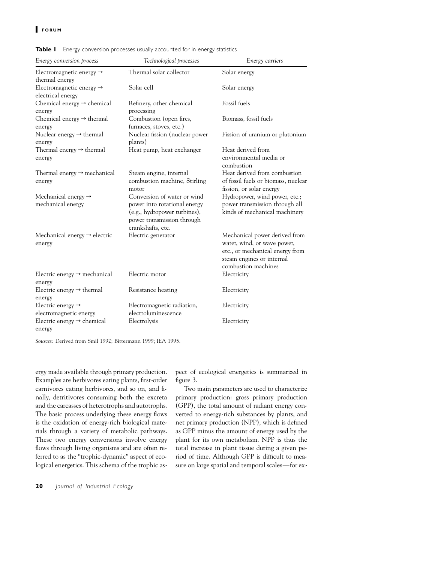| Energy conversion process                                 | Technological processes                                                                                                                        | Energy carriers                                                                                                                                     |
|-----------------------------------------------------------|------------------------------------------------------------------------------------------------------------------------------------------------|-----------------------------------------------------------------------------------------------------------------------------------------------------|
| Electromagnetic energy $\rightarrow$<br>thermal energy    | Thermal solar collector                                                                                                                        | Solar energy                                                                                                                                        |
| Electromagnetic energy $\rightarrow$<br>electrical energy | Solar cell                                                                                                                                     | Solar energy                                                                                                                                        |
| Chemical energy $\rightarrow$ chemical<br>energy          | Refinery, other chemical<br>processing                                                                                                         | Fossil fuels                                                                                                                                        |
| Chemical energy $\rightarrow$ thermal<br>energy           | Combustion (open fires,<br>furnaces, stoves, etc.)                                                                                             | Biomass, fossil fuels                                                                                                                               |
| Nuclear energy $\rightarrow$ thermal<br>energy            | Nuclear fission (nuclear power<br>plants)                                                                                                      | Fission of uranium or plutonium                                                                                                                     |
| Thermal energy $\rightarrow$ thermal<br>energy            | Heat pump, heat exchanger                                                                                                                      | Heat derived from<br>environmental media or<br>combustion                                                                                           |
| Thermal energy $\rightarrow$ mechanical<br>energy         | Steam engine, internal<br>combustion machine, Stirling<br>motor                                                                                | Heat derived from combustion<br>of fossil fuels or biomass, nuclear<br>fission, or solar energy                                                     |
| Mechanical energy $\rightarrow$<br>mechanical energy      | Conversion of water or wind<br>power into rotational energy<br>(e.g., hydropower turbines),<br>power transmission through<br>crankshafts, etc. | Hydropower, wind power, etc.;<br>power transmission through all<br>kinds of mechanical machinery                                                    |
| Mechanical energy $\rightarrow$ electric<br>energy        | Electric generator                                                                                                                             | Mechanical power derived from<br>water, wind, or wave power,<br>etc., or mechanical energy from<br>steam engines or internal<br>combustion machines |
| Electric energy $\rightarrow$ mechanical<br>energy        | Electric motor                                                                                                                                 | Electricity                                                                                                                                         |
| Electric energy $\rightarrow$ thermal<br>energy           | Resistance heating                                                                                                                             | Electricity                                                                                                                                         |
| Electric energy $\rightarrow$<br>electromagnetic energy   | Electromagnetic radiation,<br>electroluminescence                                                                                              | Electricity                                                                                                                                         |
| Electric energy $\rightarrow$ chemical<br>energy          | Electrolysis                                                                                                                                   | Electricity                                                                                                                                         |

**Table I** Energy conversion processes usually accounted for in energy statistics

*Sources:* Derived from Smil 1992; Bittermann 1999; IEA 1995.

ergy made available through primary production. Examples are herbivores eating plants, first-order carnivores eating herbivores, and so on, and finally, detritivores consuming both the excreta and the carcasses of heterotrophs and autotrophs. The basic process underlying these energy flows is the oxidation of energy-rich biological materials through a variety of metabolic pathways. These two energy conversions involve energy flows through living organisms and are often referred to as the "trophic-dynamic" aspect of ecological energetics. This schema of the trophic aspect of ecological energetics is summarized in figure 3.

Two main parameters are used to characterize primary production: gross primary production (GPP), the total amount of radiant energy converted to energy-rich substances by plants, and net primary production (NPP), which is defined as GPP minus the amount of energy used by the plant for its own metabolism. NPP is thus the total increase in plant tissue during a given period of time. Although GPP is difficult to measure on large spatial and temporal scales—for ex-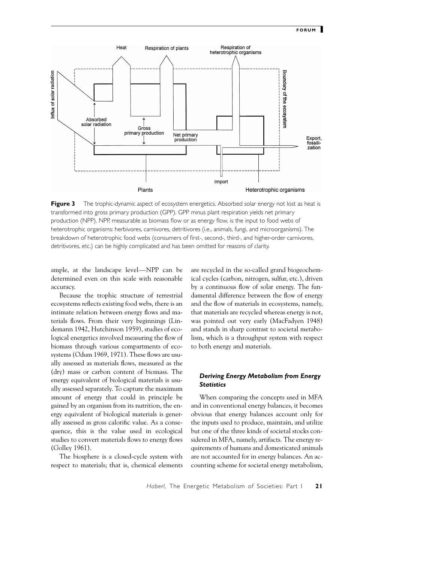

**Figure 3** The trophic-dynamic aspect of ecosystem energetics. Absorbed solar energy not lost as heat is transformed into gross primary production (GPP). GPP minus plant respiration yields net primary production (NPP). NPP, measurable as biomass flow or as energy flow, is the input to food webs of heterotrophic organisms: herbivores, carnivores, detritivores (i.e., animals, fungi, and microorganisms). The breakdown of heterotrophic food webs (consumers of first-, second-, third-, and higher-order carnivores, detritivores, etc.) can be highly complicated and has been omitted for reasons of clarity.

ample, at the landscape level—NPP can be determined even on this scale with reasonable accuracy.

Because the trophic structure of terrestrial ecosystems reflects existing food webs, there is an intimate relation between energy flows and materials flows. From their very beginnings (Lindemann 1942, Hutchinson 1959), studies of ecological energetics involved measuring the flow of biomass through various compartments of ecosystems (Odum 1969, 1971). These flows are usually assessed as materials flows, measured as the (dry) mass or carbon content of biomass. The energy equivalent of biological materials is usually assessed separately. To capture the maximum amount of energy that could in principle be gained by an organism from its nutrition, the energy equivalent of biological materials is generally assessed as gross calorific value. As a consequence, this is the value used in ecological studies to convert materials flows to energy flows (Golley 1961).

The biosphere is a closed-cycle system with respect to materials; that is, chemical elements

are recycled in the so-called grand biogeochemical cycles (carbon, nitrogen, sulfur, etc.), driven by a continuous flow of solar energy. The fundamental difference between the flow of energy and the flow of materials in ecosystems, namely, that materials are recycled whereas energy is not, was pointed out very early (MacFadyen 1948) and stands in sharp contrast to societal metabolism, which is a throughput system with respect to both energy and materials.

## *Deriving Energy Metabolism from Energy Statistics*

When comparing the concepts used in MFA and in conventional energy balances, it becomes obvious that energy balances account only for the inputs used to produce, maintain, and utilize but one of the three kinds of societal stocks considered in MFA, namely, artifacts. The energy requirements of humans and domesticated animals are not accounted for in energy balances. An accounting scheme for societal energy metabolism,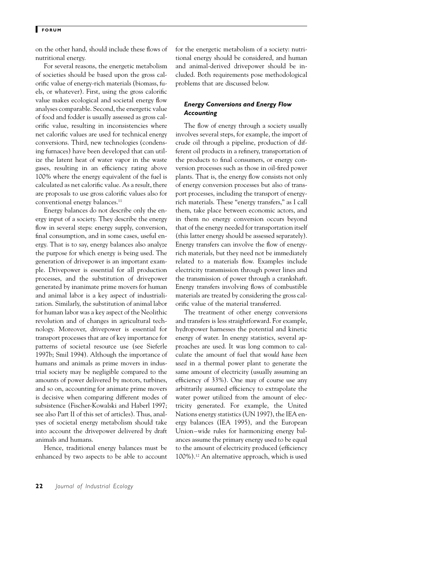on the other hand, should include these flows of nutritional energy.

For several reasons, the energetic metabolism of societies should be based upon the gross calorific value of energy-rich materials (biomass, fuels, or whatever). First, using the gross calorific value makes ecological and societal energy flow analyses comparable. Second, the energetic value of food and fodder is usually assessed as gross calorific value, resulting in inconsistencies where net calorific values are used for technical energy conversions. Third, new technologies (condensing furnaces) have been developed that can utilize the latent heat of water vapor in the waste gases, resulting in an efficiency rating above 100% where the energy equivalent of the fuel is calculated as net calorific value. As a result, there are proposals to use gross calorific values also for conventional energy balances.<sup>11</sup>

Energy balances do not describe only the energy input of a society. They describe the energy flow in several steps: energy supply, conversion, final consumption, and in some cases, useful energy. That is to say, energy balances also analyze the purpose for which energy is being used. The generation of drivepower is an important example. Drivepower is essential for all production processes, and the substitution of drivepower generated by inanimate prime movers for human and animal labor is a key aspect of industrialization. Similarly, the substitution of animal labor for human labor was a key aspect of the Neolithic revolution and of changes in agricultural technology. Moreover, drivepower is essential for transport processes that are of key importance for patterns of societal resource use (see Sieferle 1997b; Smil 1994). Although the importance of humans and animals as prime movers in industrial society may be negligible compared to the amounts of power delivered by motors, turbines, and so on, accounting for animate prime movers is decisive when comparing different modes of subsistence (Fischer-Kowalski and Haberl 1997; see also Part II of this set of articles). Thus, analyses of societal energy metabolism should take into account the drivepower delivered by draft animals and humans.

Hence, traditional energy balances must be enhanced by two aspects to be able to account

for the energetic metabolism of a society: nutritional energy should be considered, and human and animal-derived drivepower should be included. Both requirements pose methodological problems that are discussed below.

# *Energy Conversions and Energy Flow Accounting*

The flow of energy through a society usually involves several steps, for example, the import of crude oil through a pipeline, production of different oil products in a refinery, transportation of the products to final consumers, or energy conversion processes such as those in oil-fired power plants. That is, the energy flow consists not only of energy conversion processes but also of transport processes, including the transport of energyrich materials. These "energy transfers," as I call them, take place between economic actors, and in them no energy conversion occurs beyond that of the energy needed for transportation itself (this latter energy should be assessed separately). Energy transfers can involve the flow of energyrich materials, but they need not be immediately related to a materials flow. Examples include electricity transmission through power lines and the transmission of power through a crankshaft. Energy transfers involving flows of combustible materials are treated by considering the gross calorific value of the material transferred.

The treatment of other energy conversions and transfers is less straightforward. For example, hydropower harnesses the potential and kinetic energy of water. In energy statistics, several approaches are used. It was long common to calculate the amount of fuel that *would have been used* in a thermal power plant to generate the same amount of electricity (usually assuming an efficiency of 33%). One may of course use any arbitrarily assumed efficiency to extrapolate the water power utilized from the amount of electricity generated. For example, the United Nations energy statistics (UN 1997), the IEA energy balances (IEA 1995), and the European Union–wide rules for harmonizing energy balances assume the primary energy used to be equal to the amount of electricity produced (efficiency 100%).12 An alternative approach, which is used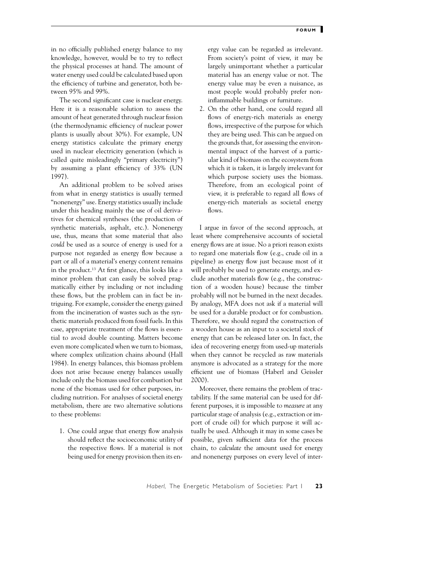in no officially published energy balance to my knowledge, however, would be to try to reflect the physical processes at hand. The amount of water energy used could be calculated based upon the efficiency of turbine and generator, both between 95% and 99%.

The second significant case is nuclear energy. Here it is a reasonable solution to assess the amount of heat generated through nuclear fission (the thermodynamic efficiency of nuclear power plants is usually about 30%). For example, UN energy statistics calculate the primary energy used in nuclear electricity generation (which is called quite misleadingly "primary electricity") by assuming a plant efficiency of 33% (UN 1997).

An additional problem to be solved arises from what in energy statistics is usually termed "nonenergy" use. Energy statistics usually include under this heading mainly the use of oil derivatives for chemical syntheses (the production of synthetic materials, asphalt, etc.). Nonenergy use, thus, means that some material that also *could* be used as a source of energy is used for a purpose not regarded as energy flow because a part or all of a material's energy content remains in the product.13 At first glance, this looks like a minor problem that can easily be solved pragmatically either by including or not including these flows, but the problem can in fact be intriguing. For example, consider the energy gained from the incineration of wastes such as the synthetic materials produced from fossil fuels. In this case, appropriate treatment of the flows is essential to avoid double counting. Matters become even more complicated when we turn to biomass, where complex utilization chains abound (Hall 1984). In energy balances, this biomass problem does not arise because energy balances usually include only the biomass used for combustion but none of the biomass used for other purposes, including nutrition. For analyses of societal energy metabolism, there are two alternative solutions to these problems:

1. One could argue that energy flow analysis should reflect the socioeconomic utility of the respective flows. If a material is not being used for energy provision then its energy value can be regarded as irrelevant. From society's point of view, it may be largely unimportant whether a particular material has an energy value or not. The energy value may be even a nuisance, as most people would probably prefer noninflammable buildings or furniture.

2. On the other hand, one could regard all flows of energy-rich materials as energy flows, irrespective of the purpose for which they are being used. This can be argued on the grounds that, for assessing the environmental impact of the harvest of a particular kind of biomass on the ecosystem from which it is taken, it is largely irrelevant for which purpose society uses the biomass. Therefore, from an ecological point of view, it is preferable to regard all flows of energy-rich materials as societal energy flows.

I argue in favor of the second approach, at least where comprehensive accounts of societal energy flows are at issue. No a priori reason exists to regard one materials flow (e.g., crude oil in a pipeline) as energy flow just because most of it will probably be used to generate energy, and exclude another materials flow (e.g., the construction of a wooden house) because the timber probably will not be burned in the next decades. By analogy, MFA does not ask if a material will be used for a durable product or for combustion. Therefore, we should regard the construction of a wooden house as an input to a societal *stock* of energy that can be released later on. In fact, the idea of recovering energy from used-up materials when they cannot be recycled as raw materials anymore is advocated as a strategy for the more efficient use of biomass (Haberl and Geissler 2000).

Moreover, there remains the problem of tractability. If the same material can be used for different purposes, it is impossible to *measure* at any particular stage of analysis (e.g., extraction or import of crude oil) for which purpose it will actually be used. Although it may in some cases be possible, given sufficient data for the process chain, to *calculate* the amount used for energy and nonenergy purposes on every level of inter-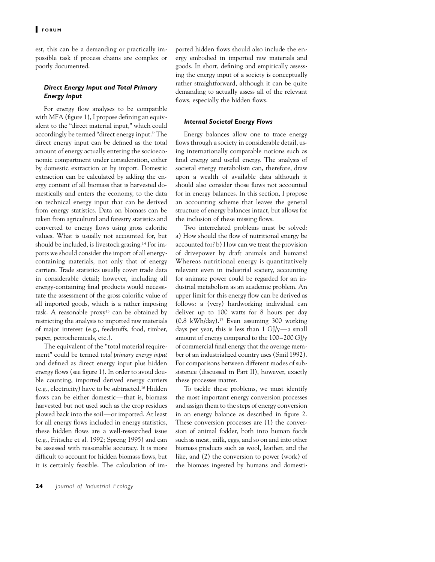est, this can be a demanding or practically impossible task if process chains are complex or poorly documented.

## *Direct Energy Input and Total Primary Energy Input*

For energy flow analyses to be compatible with MFA (figure 1), I propose defining an equivalent to the "direct material input," which could accordingly be termed "direct energy input." The direct energy input can be defined as the total amount of energy actually entering the socioeconomic compartment under consideration, either by domestic extraction or by import. Domestic extraction can be calculated by adding the energy content of all biomass that is harvested domestically and enters the economy, to the data on technical energy input that can be derived from energy statistics. Data on biomass can be taken from agricultural and forestry statistics and converted to energy flows using gross calorific values. What is usually not accounted for, but should be included, is livestock grazing.14 For imports we should consider the import of all energycontaining materials, not only that of energy carriers. Trade statistics usually cover trade data in considerable detail; however, including all energy-containing final products would necessitate the assessment of the gross calorific value of all imported goods, which is a rather imposing task. A reasonable proxy<sup>15</sup> can be obtained by restricting the analysis to imported raw materials of major interest (e.g., feedstuffs, food, timber, paper, petrochemicals, etc.).

The equivalent of the "total material requirement" could be termed *total primary energy input* and defined as direct energy input plus hidden energy flows (see figure 1). In order to avoid double counting, imported derived energy carriers (e.g., electricity) have to be subtracted.16 Hidden flows can be either domestic—that is, biomass harvested but not used such as the crop residues plowed back into the soil—or imported. At least for all energy flows included in energy statistics, these hidden flows are a well-researched issue (e.g., Fritsche et al. 1992; Spreng 1995) and can be assessed with reasonable accuracy. It is more difficult to account for hidden biomass flows, but it is certainly feasible. The calculation of imported hidden flows should also include the energy embodied in imported raw materials and goods. In short, defining and empirically assessing the energy input of a society is conceptually rather straightforward, although it can be quite demanding to actually assess all of the relevant flows, especially the hidden flows.

## *Internal Societal Energy Flows*

Energy balances allow one to trace energy flows through a society in considerable detail, using internationally comparable notions such as final energy and useful energy. The analysis of societal energy metabolism can, therefore, draw upon a wealth of available data although it should also consider those flows not accounted for in energy balances. In this section, I propose an accounting scheme that leaves the general structure of energy balances intact, but allows for the inclusion of these missing flows.

Two interrelated problems must be solved: a) How should the flow of nutritional energy be accounted for? b) How can we treat the provision of drivepower by draft animals and humans? Whereas nutritional energy is quantitatively relevant even in industrial society, accounting for animate power could be regarded for an industrial metabolism as an academic problem. An upper limit for this energy flow can be derived as follows: a (very) hardworking individual can deliver up to 100 watts for 8 hours per day (0.8 kWh/day).17 Even assuming 300 working days per year, this is less than  $1 \text{ GJ/y}$ —a small amount of energy compared to the 100–200 GJ/y of commercial final energy that the average member of an industrialized country uses (Smil 1992). For comparisons between different modes of subsistence (discussed in Part II), however, exactly these processes matter.

To tackle these problems, we must identify the most important energy conversion processes and assign them to the steps of energy conversion in an energy balance as described in figure 2. These conversion processes are (1) the conversion of animal fodder, both into human foods such as meat, milk, eggs, and so on and into other biomass products such as wool, leather, and the like, and (2) the conversion to power (work) of the biomass ingested by humans and domesti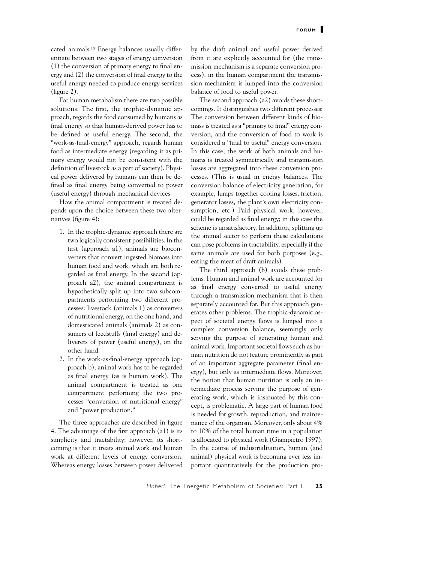cated animals.18 Energy balances usually differentiate between two stages of energy conversion (1) the conversion of primary energy to final energy and (2) the conversion of final energy to the useful energy needed to produce energy services (figure 2).

For human metabolism there are two possible solutions. The first, the trophic-dynamic approach, regards the food consumed by humans as final energy so that human-derived power has to be defined as useful energy. The second, the "work-as-final-energy" approach, regards human food as intermediate energy (regarding it as primary energy would not be consistent with the definition of livestock as a part of society). Physical power delivered by humans can then be defined as final energy being converted to power (useful energy) through mechanical devices.

How the animal compartment is treated depends upon the choice between these two alternatives (figure 4):

- 1. In the trophic-dynamic approach there are two logically consistent possibilities. In the first (approach a1), animals are bioconverters that convert ingested biomass into human food and work, which are both regarded as final energy. In the second (approach a2), the animal compartment is hypothetically split up into two subcompartments performing two different processes: livestock (animals 1) as converters of nutritional energy, on the one hand, and domesticated animals (animals 2) as consumers of feedstuffs (final energy) and deliverers of power (useful energy), on the other hand.
- 2. In the work-as-final-energy approach (approach b), animal work has to be regarded as final energy (as is human work). The animal compartment is treated as one compartment performing the two processes "conversion of nutritional energy" and "power production."

The three approaches are described in figure 4. The advantage of the first approach (a1) is its simplicity and tractability; however, its shortcoming is that it treats animal work and human work at different levels of energy conversion. Whereas energy losses between power delivered by the draft animal and useful power derived from it are explicitly accounted for (the transmission mechanism is a separate conversion process), in the human compartment the transmission mechanism is lumped into the conversion balance of food to useful power.

The second approach (a2) avoids these shortcomings. It distinguishes two different processes: The conversion between different kinds of biomass is treated as a "primary to final" energy conversion, and the conversion of food to work is considered a "final to useful" energy conversion. In this case, the work of both animals and humans is treated symmetrically and transmission losses are aggregated into these conversion processes. (This is usual in energy balances. The conversion balance of electricity generation, for example, lumps together cooling losses, friction, generator losses, the plant's own electricity consumption, etc.) Paid physical work, however, could be regarded as final energy; in this case the scheme is unsatisfactory. In addition, splitting up the animal sector to perform these calculations can pose problems in tractability, especially if the same animals are used for both purposes (e.g., eating the meat of draft animals).

The third approach (b) avoids these problems. Human and animal work are accounted for as final energy converted to useful energy through a transmission mechanism that is then separately accounted for. But this approach generates other problems. The trophic-dynamic aspect of societal energy flows is lumped into a complex conversion balance, seemingly only serving the purpose of generating human and animal work. Important societal flows such as human nutrition do not feature prominently as part of an important aggregate parameter (final energy), but only as intermediate flows. Moreover, the notion that human nutrition is only an intermediate process serving the purpose of generating work, which is insinuated by this concept, is problematic. A large part of human food is needed for growth, reproduction, and maintenance of the organism. Moreover, only about 4% to 10% of the total human time in a population is allocated to physical work (Giampietro 1997). In the course of industrialization, human (and animal) physical work is becoming ever less important quantitatively for the production pro-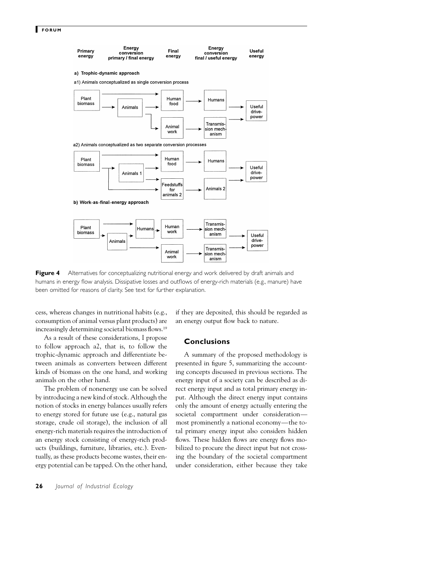

**Figure 4** Alternatives for conceptualizing nutritional energy and work delivered by draft animals and humans in energy flow analysis. Dissipative losses and outflows of energy-rich materials (e.g., manure) have been omitted for reasons of clarity. See text for further explanation.

cess, whereas changes in nutritional habits (e.g., consumption of animal versus plant products) are increasingly determining societal biomass flows.19

As a result of these considerations, I propose to follow approach a2, that is, to follow the trophic-dynamic approach and differentiate between animals as converters between different kinds of biomass on the one hand, and working animals on the other hand.

The problem of nonenergy use can be solved by introducing a new kind of stock. Although the notion of stocks in energy balances usually refers to energy stored for future use (e.g., natural gas storage, crude oil storage), the inclusion of all energy-rich materials requires the introduction of an energy stock consisting of energy-rich products (buildings, furniture, libraries, etc.). Eventually, as these products become wastes, their energy potential can be tapped. On the other hand,

if they are deposited, this should be regarded as an energy output flow back to nature.

# **Conclusions**

A summary of the proposed methodology is presented in figure 5, summarizing the accounting concepts discussed in previous sections. The energy input of a society can be described as direct energy input and as total primary energy input. Although the direct energy input contains only the amount of energy actually entering the societal compartment under consideration most prominently a national economy—the total primary energy input also considers hidden flows. These hidden flows are energy flows mobilized to procure the direct input but not crossing the boundary of the societal compartment under consideration, either because they take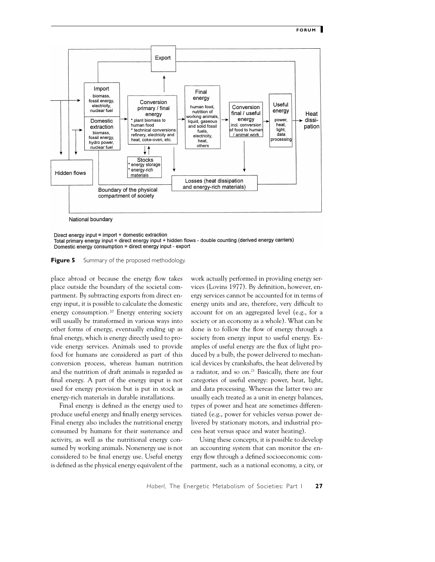

Direct energy input = import + domestic extraction

Total primary energy input = direct energy input + hidden flows - double counting (derived energy carriers) Domestic energy consumption = direct energy input - export

**Figure 5** Summary of the proposed methodology.

place abroad or because the energy flow takes place outside the boundary of the societal compartment. By subtracting exports from direct energy input, it is possible to calculate the domestic energy consumption*.*<sup>20</sup> Energy entering society will usually be transformed in various ways into other forms of energy, eventually ending up as final energy, which is energy directly used to provide energy services. Animals used to provide food for humans are considered as part of this conversion process, whereas human nutrition and the nutrition of draft animals is regarded as final energy. A part of the energy input is not used for energy provision but is put in stock as energy-rich materials in durable installations.

Final energy is defined as the energy used to produce useful energy and finally energy services. Final energy also includes the nutritional energy consumed by humans for their sustenance and activity, as well as the nutritional energy consumed by working animals. Nonenergy use is not considered to be final energy use. Useful energy is defined as the physical energy equivalent of the

work actually performed in providing energy services (Lovins 1977). By definition, however, energy services cannot be accounted for in terms of energy units and are, therefore, very difficult to account for on an aggregated level (e.g., for a society or an economy as a whole). What can be done is to follow the flow of energy through a society from energy input to useful energy. Examples of useful energy are the flux of light produced by a bulb, the power delivered to mechanical devices by crankshafts, the heat delivered by a radiator, and so on.21 Basically, there are four categories of useful energy: power, heat, light, and data processing. Whereas the latter two are usually each treated as a unit in energy balances, types of power and heat are sometimes differentiated (e.g., power for vehicles versus power delivered by stationary motors, and industrial process heat versus space and water heating).

Using these concepts, it is possible to develop an accounting system that can monitor the energy flow through a defined socioeconomic compartment, such as a national economy, a city, or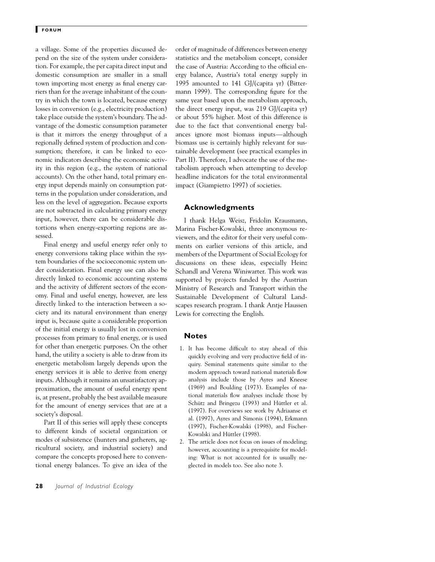a village. Some of the properties discussed depend on the size of the system under consideration. For example, the per capita direct input and domestic consumption are smaller in a small town importing most energy as final energy carriers than for the average inhabitant of the country in which the town is located, because energy losses in conversion (e.g., electricity production) take place outside the system's boundary. The advantage of the domestic consumption parameter is that it mirrors the energy throughput of a regionally defined system of production and consumption; therefore, it can be linked to economic indicators describing the economic activity in this region (e.g., the system of national accounts). On the other hand, total primary energy input depends mainly on consumption patterns in the population under consideration, and less on the level of aggregation. Because exports are not subtracted in calculating primary energy input, however, there can be considerable distortions when energy-exporting regions are assessed.

Final energy and useful energy refer only to energy conversions taking place within the system boundaries of the socioeconomic system under consideration. Final energy use can also be directly linked to economic accounting systems and the activity of different sectors of the economy. Final and useful energy, however, are less directly linked to the interaction between a society and its natural environment than energy input is, because quite a considerable proportion of the initial energy is usually lost in conversion processes from primary to final energy, or is used for other than energetic purposes. On the other hand, the utility a society is able to draw from its energetic metabolism largely depends upon the energy services it is able to derive from energy inputs. Although it remains an unsatisfactory approximation, the amount of useful energy spent is, at present, probably the best available measure for the amount of energy services that are at a society's disposal.

Part II of this series will apply these concepts to different kinds of societal organization or modes of subsistence (hunters and gatherers, agricultural society, and industrial society) and compare the concepts proposed here to conventional energy balances. To give an idea of the

**28** *Journal of Industrial Ecology*

order of magnitude of differences between energy statistics and the metabolism concept, consider the case of Austria: According to the official energy balance, Austria's total energy supply in 1995 amounted to 141 GJ/(capita yr) (Bittermann 1999). The corresponding figure for the same year based upon the metabolism approach, the direct energy input, was 219 GJ/(capita yr) or about 55% higher. Most of this difference is due to the fact that conventional energy balances ignore most biomass inputs—although biomass use is certainly highly relevant for sustainable development (see practical examples in Part II). Therefore, I advocate the use of the metabolism approach when attempting to develop headline indicators for the total environmental impact (Giampietro 1997) of societies.

## **Acknowledgments**

I thank Helga Weisz, Fridolin Krausmann, Marina Fischer-Kowalski, three anonymous reviewers, and the editor for their very useful comments on earlier versions of this article, and members of the Department of Social Ecology for discussions on these ideas, especially Heinz Schandl and Verena Winiwarter. This work was supported by projects funded by the Austrian Ministry of Research and Transport within the Sustainable Development of Cultural Landscapes research program. I thank Antje Haussen Lewis for correcting the English.

## **Notes**

- 1. It has become difficult to stay ahead of this quickly evolving and very productive field of inquiry. Seminal statements quite similar to the modern approach toward national materials flow analysis include those by Ayres and Kneese (1969) and Boulding (1973). Examples of national materials flow analyses include those by Schütz and Bringezu (1993) and Hüttler et al. (1997). For overviews see work by Adriaanse et al. (1997), Ayres and Simonis (1994), Erkmann (1997), Fischer-Kowalski (1998), and Fischer-Kowalski and Hüttler (1998).
- 2. The article does not focus on issues of modeling; however, accounting is a prerequisite for modeling: What is not accounted for is usually neglected in models too. See also note 3.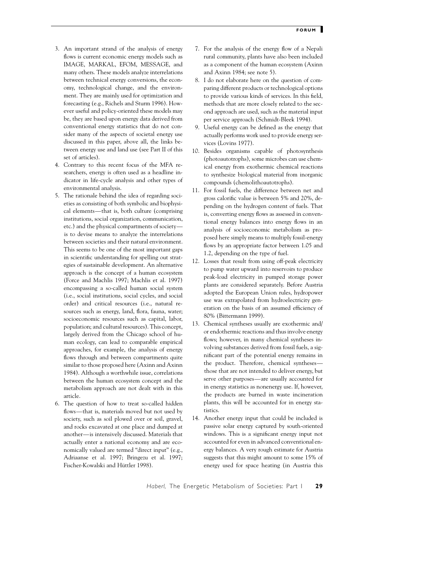- 3. An important strand of the analysis of energy flows is current economic energy models such as IMAGE, MARKAL, EFOM, MESSAGE, and many others. These models analyze interrelations between technical energy conversions, the economy, technological change, and the environment. They are mainly used for optimization and forecasting (e.g., Richels and Sturm 1996). However useful and policy-oriented these models may be, they are based upon energy data derived from conventional energy statistics that do not consider many of the aspects of societal energy use discussed in this paper, above all, the links between energy use and land use (see Part II of this set of articles).
- 4. Contrary to this recent focus of the MFA researchers, energy is often used as a headline indicator in life-cycle analysis and other types of environmental analysis.
- 5. The rationale behind the idea of regarding societies as consisting of both symbolic and biophysical elements—that is, both culture (comprising institutions, social organization, communication, etc.) and the physical compartments of society is to devise means to analyze the interrelations between societies and their natural environment. This seems to be one of the most important gaps in scientific understanding for spelling out strategies of sustainable development. An alternative approach is the concept of a human ecosystem (Force and Machlis 1997; Machlis et al. 1997) encompassing a so-called human social system (i.e., social institutions, social cycles, and social order) and critical resources (i.e., natural resources such as energy, land, flora, fauna, water; socioeconomic resources such as capital, labor, population; and cultural resources). This concept, largely derived from the Chicago school of human ecology, can lead to comparable empirical approaches, for example, the analysis of energy flows through and between compartments quite similar to those proposed here (Axinn and Axinn 1984). Although a worthwhile issue, correlations between the human ecosystem concept and the metabolism approach are not dealt with in this article.
- 6. The question of how to treat so-called hidden flows—that is, materials moved but not used by society, such as soil plowed over or soil, gravel, and rocks excavated at one place and dumped at another—is intensively discussed. Materials that actually enter a national economy and are economically valued are termed "direct input" (e.g., Adriaanse et al. 1997; Bringezu et al. 1997; Fischer-Kowalski and Hüttler 1998).
- 7. For the analysis of the energy flow of a Nepali rural community, plants have also been included as a component of the human ecosystem (Axinn and Axinn 1984; see note 5).
- 8. I do not elaborate here on the question of comparing different products or technological options to provide various kinds of services. In this field, methods that are more closely related to the second approach are used, such as the material input per service approach (Schmidt-Bleek 1994).
- 9. Useful energy can be defined as the energy that actually performs work used to provide energy services (Lovins 1977).
- 10. Besides organisms capable of photosynthesis (photoautotrophs), some microbes can use chemical energy from exothermic chemical reactions to synthesize biological material from inorganic compounds (chemolithoautotrophs).
- 11. For fossil fuels, the difference between net and gross calorific value is between 5% and 20%, depending on the hydrogen content of fuels. That is, converting energy flows as assessed in conventional energy balances into energy flows in an analysis of socioeconomic metabolism as proposed here simply means to multiply fossil-energy flows by an appropriate factor between 1.05 and 1.2, depending on the type of fuel.
- 12. Losses that result from using off-peak electricity to pump water upward into reservoirs to produce peak-load electricity in pumped storage power plants are considered separately. Before Austria adopted the European Union rules, hydropower use was extrapolated from hydroelectricity generation on the basis of an assumed efficiency of 80% (Bittermann 1999).
- 13. Chemical syntheses usually are exothermic and/ or endothermic reactions and thus involve energy flows; however, in many chemical syntheses involving substances derived from fossil fuels, a significant part of the potential energy remains in the product. Therefore, chemical syntheses those that are not intended to deliver energy, but serve other purposes—are usually accounted for in energy statistics as nonenergy use. If, however, the products are burned in waste incineration plants, this will be accounted for in energy statistics.
- 14. Another energy input that could be included is passive solar energy captured by south-oriented windows. This is a significant energy input not accounted for even in advanced conventional energy balances. A very rough estimate for Austria suggests that this might amount to some 15% of energy used for space heating (in Austria this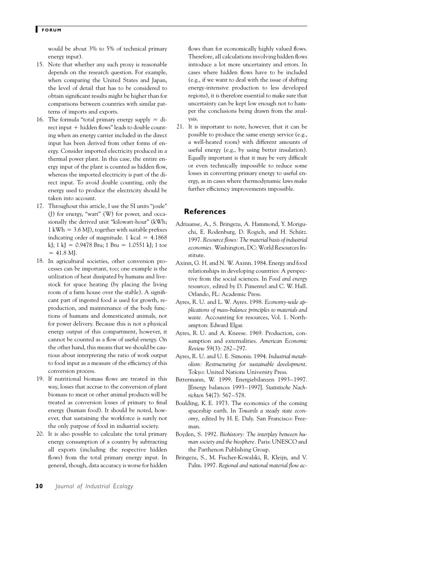would be about 3% to 5% of technical primary energy input).

- 15. Note that whether any such proxy is reasonable depends on the research question. For example, when comparing the United States and Japan, the level of detail that has to be considered to obtain significant results might be higher than for comparisons between countries with similar patterns of imports and exports.
- 16. The formula "total primary energy supply  $=$  di $rect input + hidden flows" leads to double count$ ing when an energy carrier included in the direct input has been derived from other forms of energy. Consider imported electricity produced in a thermal power plant. In this case, the entire energy input of the plant is counted as hidden flow, whereas the imported electricity is part of the direct input. To avoid double counting, only the energy used to produce the electricity should be taken into account.
- 17. Throughout this article, I use the SI units "joule" (J) for energy, "watt" (W) for power, and occasionally the derived unit "kilowatt-hour" (kWh;  $1$  kWh  $=$  3.6 MJ), together with suitable prefixes indicating order of magnitude. 1 kcal  $= 4.1868$ kJ; 1 kJ =  $0.9478$  Btu; 1 Btu = 1.0551 kJ; 1 toe  $= 41.8$  MJ.
- 18. In agricultural societies, other conversion processes can be important, too; one example is the utilization of heat dissipated by humans and livestock for space heating (by placing the living room of a farm house over the stable). A significant part of ingested food is used for growth, reproduction, and maintenance of the body functions of humans and domesticated animals, not for power delivery. Because this is not a physical energy output of this compartment, however, it cannot be counted as a flow of useful energy. On the other hand, this means that we should be cautious about interpreting the ratio of work output to food input as a measure of the efficiency of this conversion process.
- 19. If nutritional biomass flows are treated in this way, losses that accrue to the conversion of plant biomass to meat or other animal products will be treated as conversion losses of primary to final energy (human food). It should be noted, however, that sustaining the workforce is surely not the only purpose of food in industrial society.
- 20. It is also possible to calculate the total primary energy consumption of a country by subtracting all exports (including the respective hidden flows) from the total primary energy input. In general, though, data accuracy is worse for hidden

flows than for economically highly valued flows. Therefore, all calculations involving hidden flows introduce a lot more uncertainty and errors. In cases where hidden flows have to be included (e.g., if we want to deal with the issue of shifting energy-intensive production to less developed regions), it is therefore essential to make sure that uncertainty can be kept low enough not to hamper the conclusions being drawn from the analysis.

21. It is important to note, however, that it can be possible to produce the same energy service (e.g., a well-heated room) with different amounts of useful energy (e.g., by using better insulation). Equally important is that it may be very difficult or even technically impossible to reduce some losses in converting primary energy to useful energy, as in cases where thermodynamic laws make further efficiency improvements impossible.

## **References**

- Adriaanse, A., S. Bringezu, A. Hammond, Y. Moriguchi, E. Rodenburg, D. Rogich, and H. Schütz. 1997. *Resource flows: The material basis of industrial economies.* Washington, DC: World Resources Institute.
- Axinn, G. H. and N. W. Axinn. 1984. Energy and food relationships in developing countries: A perspective from the social sciences. In *Food and energy resources,* edited by D. Pimentel and C. W. Hall. Orlando, FL: Academic Press.
- Ayres, R. U. and L. W. Ayres. 1998. *Economy-wide applications of mass-balance principles to materials and waste.* Accounting for resources, Vol. 1. Northampton: Edward Elgar.
- Ayres, R. U. and A. Kneese. 1969. Production, consumption and externalities. *American Economic Review* 59(3): 282–297.
- Ayres, R. U. and U. E. Simonis. 1994. *Industrial metabolism: Restructuring for sustainable development.* Tokyo: United Nations University Press.
- Bittermann, W. 1999. Energiebilanzen 1993–1997. [Energy balances 1993–1997]. *Statistische Nachrichten* 54(7): 567–578.
- Boulding, K. E. 1973. The economics of the coming spaceship earth. In *Towards a steady state economy,* edited by H. E. Daly. San Francisco: Freeman.
- Boyden, S. 1992. *Biohistory: The interplay between human society and the biosphere.* Paris: UNESCO and the Parthenon Publishing Group.
- Bringezu, S., M. Fischer-Kowalski, R. Kleijn, and V. Palm. 1997. *Regional and national material flow ac-*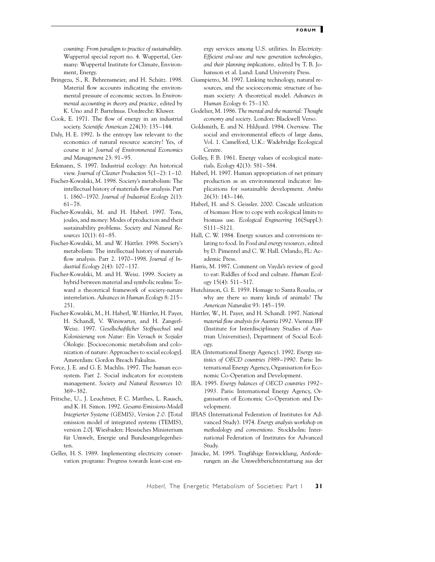*counting: From paradigm to practice of sustainability.* Wuppertal special report no. 4. Wuppertal, Germany: Wuppertal Institute for Climate, Environment, Energy.

- Bringezu, S., R. Behrensmeier, and H. Schütz. 1998. Material flow accounts indicating the environmental pressure of economic sectors. In *Environmental accounting in theory and practice,* edited by K. Uno and P. Bartelmus. Dordrecht: Kluwer.
- Cook, E. 1971. The flow of energy in an industrial society. *Scientific American* 224(3): 135–144.
- Daly, H. E. 1992. Is the entropy law relevant to the economics of natural resource scarcity? Yes, of course it is! *Journal of Environmental Economics and Management* 23: 91–95.
- Erkmann, S. 1997. Industrial ecology: An historical view. *Journal of Cleaner Production* 5(1–2): 1–10.
- Fischer-Kowalski, M. 1998. Society's metabolism: The intellectual history of materials flow analysis. Part 1. 1860–1970. *Journal of Industrial Ecology* 2(1): 61–78.
- Fischer-Kowalski, M. and H. Haberl. 1997. Tons, joules, and money: Modes of production and their sustainability problems. *Society and Natural Resources* 10(1): 61–85.
- Fischer-Kowalski, M. and W. Hüttler. 1998. Society's metabolism: The intellectual history of materials flow analysis. Part 2. 1970–1998. *Journal of Industrial Ecology* 2(4): 107–137.
- Fischer-Kowalski, M. and H. Weisz. 1999. Society as hybrid between material and symbolic realms: Toward a theoretical framework of society-nature interrelation. *Advances in Human Ecology* 8: 215– 251.
- Fischer-Kowalski, M., H. Haberl, W. Hüttler, H. Payer, H. Schandl, V. Winiwarter, and H. Zangerl-Weisz. 1997. *Gesellschaftlicher Stoffwechsel und Kolonisierung von Natur: Ein Versuch in Sozialer* Ökologie. [Socioeconomic metabolism and colonization of nature: Approaches to social ecology]. Amsterdam: Gordon Breach Fakultas.
- Force, J. E. and G. E. Machlis. 1997. The human ecosystem. Part 2. Social indicators for ecosystem management. *Society and Natural Resources* 10: 369–382.
- Fritsche, U., J. Leuchtner, F. C. Matthes, L. Rausch, and K. H. Simon. 1992. *Gesamt-Emissions-Modell Integrierter Systeme (GEMIS), Version 2.0.* [Total emission model of integrated systems (TEMIS), version 2.0]. Wiesbaden: Hessisches Ministerium für Umwelt, Energie und Bundesangelegenheiten.
- Geller, H. S. 1989. Implementing electricity conservation programs: Progress towards least-cost en-

ergy services among U.S. utilities. In *Electricity: Efficient end-use and new generation technologies, and their planning implications,* edited by T. B. Johansson et al. Lund: Lund University Press.

- Giampietro, M. 1997. Linking technology, natural resources, and the socioeconomic structure of human society: A theoretical model. *Advances in Human Ecology* 6: 75–130.
- Godelier, M. 1986. *The mental and the material: Thought economy and society.* London: Blackwell Verso.
- Goldsmith, E. and N. Hildyard. 1984. *Overview.* The social and environmental effects of large dams, Vol. 1. Camelford, U.K.: Wadebridge Ecological Centre.
- Golley, F. B. 1961. Energy values of ecological materials. *Ecology* 42(3): 581–584.
- Haberl, H. 1997. Human appropriation of net primary production as an environmental indicator: Implications for sustainable development. *Ambio* 26(3): 143–146.
- Haberl, H. and S. Geissler. 2000. Cascade utilization of biomass: How to cope with ecological limits to biomass use. *Ecological Engineering* 16(Suppl.): S111–S121.
- Hall, C. W. 1984. Energy sources and conversions relating to food. In *Food and energy resources,* edited by D. Pimentel and C. W. Hall. Orlando, FL: Academic Press.
- Harris, M. 1987. Comment on Vayda's review of good to eat: Riddles of food and culture. *Human Ecology* 15(4): 511–517.
- Hutchinson, G. E. 1959. Homage to Santa Rosalia, or why are there so many kinds of animals? *The American Naturalist* 93: 145–159.
- Hüttler, W., H. Payer, and H. Schandl. 1997. *National material flow analysis for Austria 1992.* Vienna: IFF (Institute for Interdisciplinary Studies of Austrian Universities), Department of Social Ecology.
- IEA (International Energy Agency). 1992. *Energy statistics of OECD countries 1989–1990.* Paris: International Energy Agency, Organisation for Economic Co-Operation and Development.
- IEA. 1995. *Energy balances of OECD countries 1992– 1993.* Paris: International Energy Agency, Organisation of Economic Co-Operation and Development.
- IFIAS (International Federation of Institutes for Advanced Study). 1974. *Energy analysis workshop on methodology and conventions.* Stockholm: International Federation of Institutes for Advanced Study.
- Jänicke, M. 1995. Tragfähige Entwicklung, Anforderungen an die Umweltberichterstattung aus der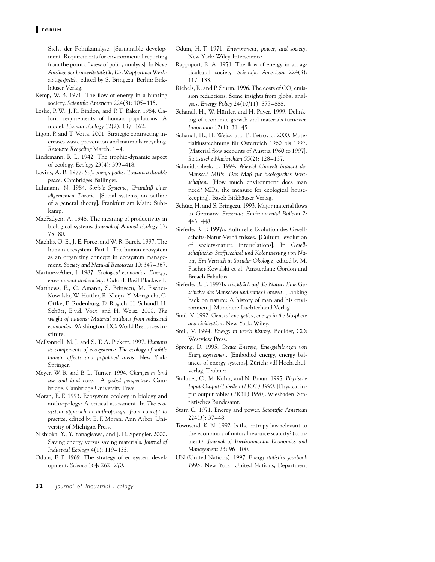Sicht der Politikanalyse. [Sustainable development. Requirements for environmental reporting from the point of view of policy analysis]. In *Neue Ansa¨tze der Umweltstatistik, Ein WuppertalerWerkstattgespra¨ch,* edited by S. Bringezu. Berlin: Birkhäuser Verlag.

- Kemp, W. B. 1971. The flow of energy in a hunting society. *Scientific American* 224(3): 105–115.
- Leslie, P. W., J. R. Bindon, and P. T. Baker. 1984. Caloric requirements of human populations: A model. *Human Ecology* 12(2): 137–162.
- Ligon, P. and T. Votta. 2001. Strategic contracting increases waste prevention and materials recycling. *Resource Recycling* March: 1–4.
- Lindemann, R. L. 1942. The trophic-dynamic aspect of ecology. *Ecology* 23(4): 399–418.
- Lovins, A. B. 1977. *Soft energy paths: Toward a durable peace.* Cambridge: Ballinger.
- Luhmann, N. 1984. *Soziale Systeme, Grundriß einer allgemeinen Theorie.* [Social systems, an outline of a general theory]. Frankfurt am Main: Suhrkamp.
- MacFadyen, A. 1948. The meaning of productivity in biological systems. *Journal of Animal Ecology* 17: 75–80.
- Machlis, G. E., J. E. Force, and W. R. Burch. 1997. The human ecosystem. Part 1. The human ecosystem as an organizing concept in ecosystem management. *Society and Natural Resources* 10: 347–367.
- Martinez-Alier, J. 1987. *Ecological economics. Energy, environment and society.* Oxford: Basil Blackwell.
- Matthews, E., C. Amann, S. Bringezu, M. Fischer-Kowalski, W. Hüttler, R. Kleijn, Y. Moriguchi, C. Ottke, E. Rodenburg, D. Rogich, H. Schandl, H. Schütz, E.v.d. Voet, and H. Weisz. 2000. The *weight of nations: Material outflows from industrial economies.* Washington, DC: World Resources Institute.
- McDonnell, M. J. and S. T. A. Pickett. 1997. *Humans as components of ecosystems: The ecology of subtle human effects and populated areas.* New York: Springer.
- Meyer, W. B. and B. L. Turner. 1994. *Changes in land use and land cover: A global perspective.* Cambridge: Cambridge University Press.
- Moran, E. F. 1993. Ecosystem ecology in biology and anthropology: A critical assessment. In *The ecosystem approach in anthropology, from concept to practice,* edited by E. F. Moran. Ann Arbor: University of Michigan Press.
- Nishioka, Y., Y. Yanagisawa, and J. D. Spengler. 2000. Saving energy versus saving materials. *Journal of Industrial Ecology* 4(1): 119–135.
- Odum, E. P. 1969. The strategy of ecosystem development. *Science* 164: 262–270.
- Odum, H. T. 1971. *Environment, power, and society.* New York: Wiley-Interscience.
- Rappaport, R. A. 1971. The flow of energy in an agricultural society. *Scientific American* 224(3): 117–133.
- Richels, R. and P. Sturm. 1996. The costs of CO<sub>2</sub> emission reductions: Some insights from global analyses. *Energy Policy* 24(10/11): 875–888.
- Schandl, H., W. Hüttler, and H. Payer. 1999. Delinking of economic growth and materials turnover. *Innovation* 12(1): 31–45.
- Schandl, H., H. Weisz, and B. Petrovic. 2000. Materialflussrechnung für Österreich 1960 bis 1997. [Material flow accounts of Austria 1960 to 1997]. *Statistische Nachrichten* 55(2): 128–137.
- Schmidt-Bleek, F. 1994. *Wieviel Umwelt braucht der* Mensch? MIPs, Das Maß für ökologisches Wirt*schaften.* [How much environment does man need? MIPs, the measure for ecological housekeeping]. Basel: Birkhäuser Verlag.
- Schütz, H. and S. Bringezu. 1993. Major material flows in Germany. *Fresenius Environmental Bulletin* 2: 443–448.
- Sieferle, R. P. 1997a. Kulturelle Evolution des Gesellschafts-Natur-Verhältnisses. [Cultural evolution of society-nature interrelations]. In *Gesellschaftlicher Stoffwechsel und Kolonisierung von Natur, Ein Versuch in Sozialer O¨ kologie,* edited by M. Fischer-Kowalski et al. Amsterdam: Gordon and Breach Fakultas.
- Sieferle, R. P. 1997b. Rückblick auf die Natur: Eine Ge*schichte des Menschen und seiner Umwelt.* [Looking back on nature: A history of man and his environment]. München: Luchterhand Verlag.
- Smil, V. 1992. *General energetics, energy in the biosphere and civilization.* New York: Wiley.
- Smil, V. 1994. *Energy in world history.* Boulder, CO: Westview Press.
- Spreng, D. 1995. *Graue Energie, Energiebilanzen von Energiesystemen.* [Embodied energy, energy balances of energy systems]. Zürich: vdf Hochschulverlag, Teubner.
- Stahmer, C., M. Kuhn, and N. Braun. 1997. *Physische Input-Output-Tabellen (PIOT) 1990.* [Physical input output tables (PIOT) 1990]. Wiesbaden: Statistisches Bundesamt.
- Starr, C. 1971. Energy and power. *Scientific American* 224(3): 37–48.
- Townsend, K. N. 1992. Is the entropy law relevant to the economics of natural resource scarcity? (comment). *Journal of Environmental Economics and Management* 23: 96–100.
- UN (United Nations). 1997. *Energy statistics yearbook 1995.* New York: United Nations, Department